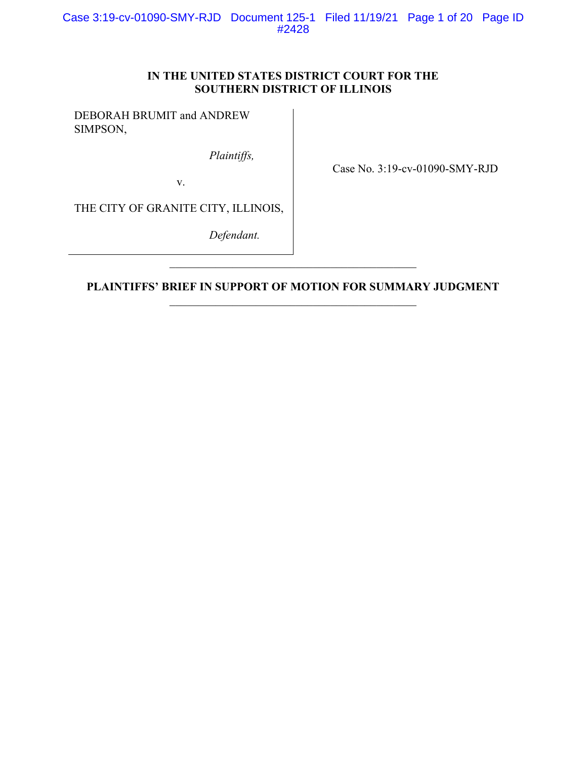# IN THE UNITED STATES DISTRICT COURT FOR THE SOUTHERN DISTRICT OF ILLINOIS

DEBORAH BRUMIT and ANDREW SIMPSON,

Plaintiffs,

Case No. 3:19-cv-01090-SMY-RJD

THE CITY OF GRANITE CITY, ILLINOIS,

v.

Defendant.

PLAINTIFFS' BRIEF IN SUPPORT OF MOTION FOR SUMMARY JUDGMENT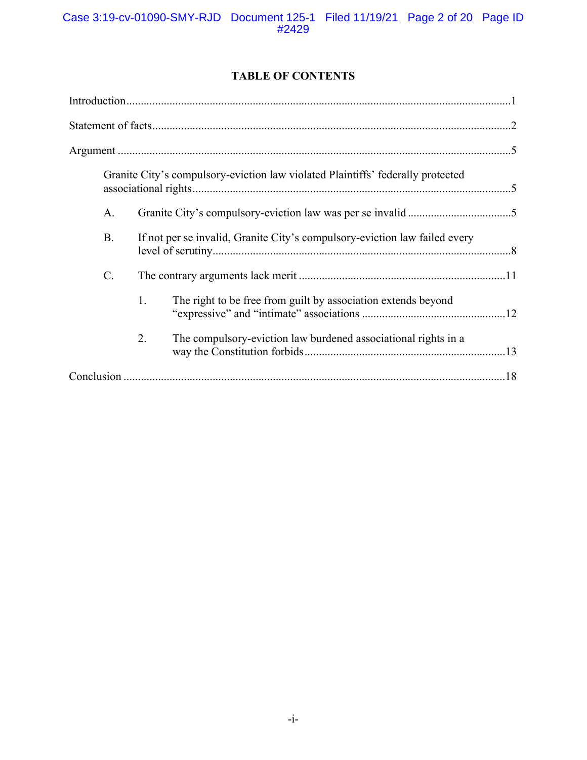# TABLE OF CONTENTS

|                 |    | Granite City's compulsory-eviction law violated Plaintiffs' federally protected |  |
|-----------------|----|---------------------------------------------------------------------------------|--|
| A.              |    |                                                                                 |  |
| <b>B.</b>       |    | If not per se invalid, Granite City's compulsory-eviction law failed every      |  |
| $\mathcal{C}$ . |    |                                                                                 |  |
|                 | 1. | The right to be free from guilt by association extends beyond                   |  |
|                 | 2. | The compulsory-eviction law burdened associational rights in a                  |  |
|                 |    |                                                                                 |  |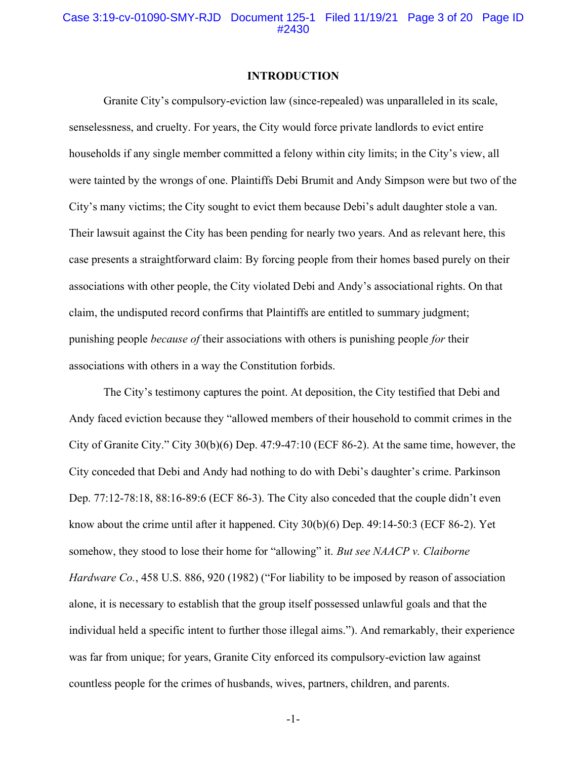#### INTRODUCTION

Granite City's compulsory-eviction law (since-repealed) was unparalleled in its scale, senselessness, and cruelty. For years, the City would force private landlords to evict entire households if any single member committed a felony within city limits; in the City's view, all were tainted by the wrongs of one. Plaintiffs Debi Brumit and Andy Simpson were but two of the City's many victims; the City sought to evict them because Debi's adult daughter stole a van. Their lawsuit against the City has been pending for nearly two years. And as relevant here, this case presents a straightforward claim: By forcing people from their homes based purely on their associations with other people, the City violated Debi and Andy's associational rights. On that claim, the undisputed record confirms that Plaintiffs are entitled to summary judgment; punishing people because of their associations with others is punishing people for their associations with others in a way the Constitution forbids.

The City's testimony captures the point. At deposition, the City testified that Debi and Andy faced eviction because they "allowed members of their household to commit crimes in the City of Granite City." City 30(b)(6) Dep. 47:9-47:10 (ECF 86-2). At the same time, however, the City conceded that Debi and Andy had nothing to do with Debi's daughter's crime. Parkinson Dep. 77:12-78:18, 88:16-89:6 (ECF 86-3). The City also conceded that the couple didn't even know about the crime until after it happened. City  $30(b)(6)$  Dep.  $49:14-50:3$  (ECF 86-2). Yet somehow, they stood to lose their home for "allowing" it. But see NAACP v. Claiborne Hardware Co., 458 U.S. 886, 920 (1982) ("For liability to be imposed by reason of association alone, it is necessary to establish that the group itself possessed unlawful goals and that the individual held a specific intent to further those illegal aims."). And remarkably, their experience was far from unique; for years, Granite City enforced its compulsory-eviction law against countless people for the crimes of husbands, wives, partners, children, and parents.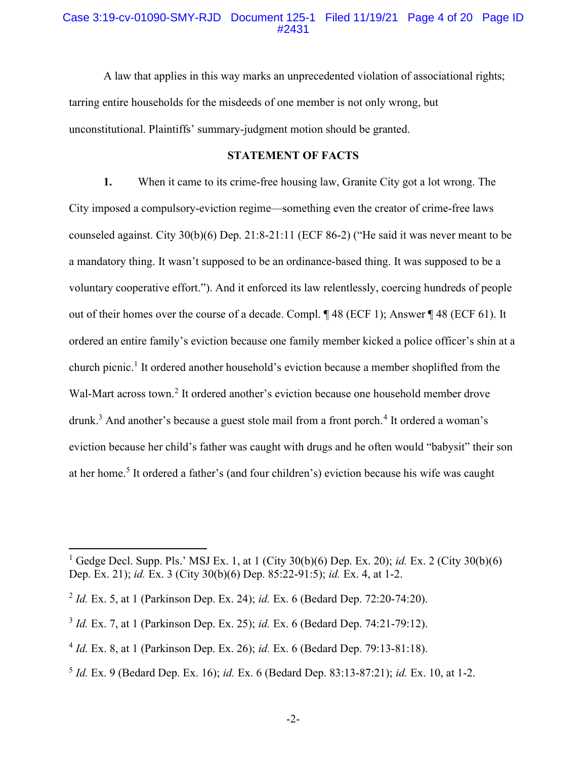#### Case 3:19-cv-01090-SMY-RJD Document 125-1 Filed 11/19/21 Page 4 of 20 Page ID #2431

A law that applies in this way marks an unprecedented violation of associational rights; tarring entire households for the misdeeds of one member is not only wrong, but unconstitutional. Plaintiffs' summary-judgment motion should be granted.

### STATEMENT OF FACTS

1. When it came to its crime-free housing law, Granite City got a lot wrong. The City imposed a compulsory-eviction regime—something even the creator of crime-free laws counseled against. City 30(b)(6) Dep. 21:8-21:11 (ECF 86-2) ("He said it was never meant to be a mandatory thing. It wasn't supposed to be an ordinance-based thing. It was supposed to be a voluntary cooperative effort."). And it enforced its law relentlessly, coercing hundreds of people out of their homes over the course of a decade. Compl. ¶ 48 (ECF 1); Answer ¶ 48 (ECF 61). It ordered an entire family's eviction because one family member kicked a police officer's shin at a church picnic.<sup>1</sup> It ordered another household's eviction because a member shoplifted from the Wal-Mart across town.<sup>2</sup> It ordered another's eviction because one household member drove drunk.<sup>3</sup> And another's because a guest stole mail from a front porch.<sup>4</sup> It ordered a woman's eviction because her child's father was caught with drugs and he often would "babysit" their son at her home.<sup>5</sup> It ordered a father's (and four children's) eviction because his wife was caught

<sup>&</sup>lt;sup>1</sup> Gedge Decl. Supp. Pls.' MSJ Ex. 1, at 1 (City 30(b)(6) Dep. Ex. 20); *id.* Ex. 2 (City 30(b)(6) Dep. Ex. 21); id. Ex. 3 (City 30(b)(6) Dep. 85:22-91:5); id. Ex. 4, at 1-2.

<sup>&</sup>lt;sup>2</sup> *Id.* Ex. 5, at 1 (Parkinson Dep. Ex. 24); *id.* Ex. 6 (Bedard Dep. 72:20-74:20).

 $3$  *Id.* Ex. 7, at 1 (Parkinson Dep. Ex. 25); *id.* Ex. 6 (Bedard Dep. 74:21-79:12).

 $^{4}$  *Id.* Ex. 8, at 1 (Parkinson Dep. Ex. 26); id. Ex. 6 (Bedard Dep. 79:13-81:18).

 $5$  Id. Ex. 9 (Bedard Dep. Ex. 16); id. Ex. 6 (Bedard Dep. 83:13-87:21); id. Ex. 10, at 1-2.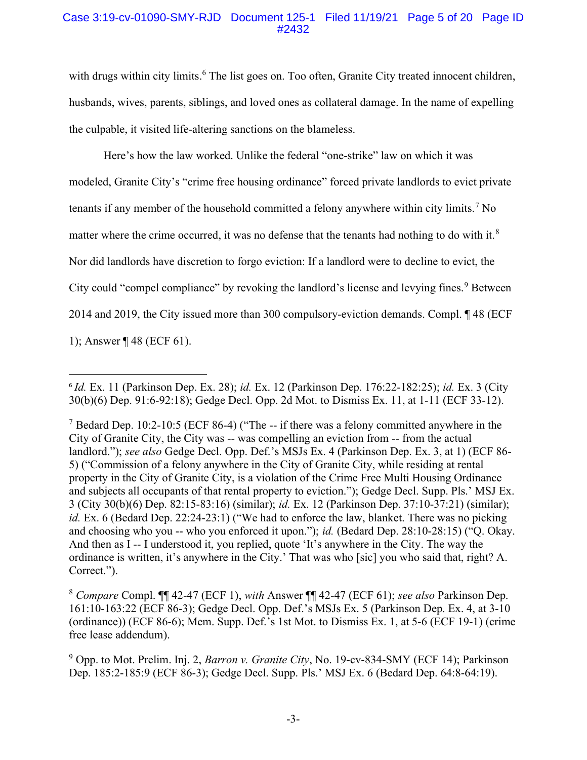## Case 3:19-cv-01090-SMY-RJD Document 125-1 Filed 11/19/21 Page 5 of 20 Page ID #2432

with drugs within city limits.<sup>6</sup> The list goes on. Too often, Granite City treated innocent children, husbands, wives, parents, siblings, and loved ones as collateral damage. In the name of expelling the culpable, it visited life-altering sanctions on the blameless.

Here's how the law worked. Unlike the federal "one-strike" law on which it was modeled, Granite City's "crime free housing ordinance" forced private landlords to evict private tenants if any member of the household committed a felony anywhere within city limits.<sup>7</sup> No matter where the crime occurred, it was no defense that the tenants had nothing to do with it.<sup>8</sup> Nor did landlords have discretion to forgo eviction: If a landlord were to decline to evict, the City could "compel compliance" by revoking the landlord's license and levying fines.<sup>9</sup> Between 2014 and 2019, the City issued more than 300 compulsory-eviction demands. Compl. ¶ 48 (ECF 1); Answer ¶ 48 (ECF 61).

 $6$  Id. Ex. 11 (Parkinson Dep. Ex. 28); id. Ex. 12 (Parkinson Dep. 176:22-182:25); id. Ex. 3 (City 30(b)(6) Dep. 91:6-92:18); Gedge Decl. Opp. 2d Mot. to Dismiss Ex. 11, at 1-11 (ECF 33-12).

<sup>&</sup>lt;sup>7</sup> Bedard Dep. 10:2-10:5 (ECF 86-4) ("The -- if there was a felony committed anywhere in the City of Granite City, the City was -- was compelling an eviction from -- from the actual landlord."); see also Gedge Decl. Opp. Def.'s MSJs Ex. 4 (Parkinson Dep. Ex. 3, at 1) (ECF 86-5) ("Commission of a felony anywhere in the City of Granite City, while residing at rental property in the City of Granite City, is a violation of the Crime Free Multi Housing Ordinance and subjects all occupants of that rental property to eviction."); Gedge Decl. Supp. Pls.' MSJ Ex. 3 (City 30(b)(6) Dep. 82:15-83:16) (similar); id. Ex. 12 (Parkinson Dep. 37:10-37:21) (similar); id. Ex. 6 (Bedard Dep. 22:24-23:1) ("We had to enforce the law, blanket. There was no picking and choosing who you -- who you enforced it upon."); id. (Bedard Dep. 28:10-28:15) ("Q. Okay. And then as I -- I understood it, you replied, quote 'It's anywhere in the City. The way the ordinance is written, it's anywhere in the City.' That was who [sic] you who said that, right? A. Correct.").

<sup>8</sup> Compare Compl. ¶¶ 42-47 (ECF 1), with Answer ¶¶ 42-47 (ECF 61); see also Parkinson Dep. 161:10-163:22 (ECF 86-3); Gedge Decl. Opp. Def.'s MSJs Ex. 5 (Parkinson Dep. Ex. 4, at 3-10 (ordinance)) (ECF 86-6); Mem. Supp. Def.'s 1st Mot. to Dismiss Ex. 1, at 5-6 (ECF 19-1) (crime free lease addendum).

<sup>&</sup>lt;sup>9</sup> Opp. to Mot. Prelim. Inj. 2, *Barron v. Granite City*, No. 19-cv-834-SMY (ECF 14); Parkinson Dep. 185:2-185:9 (ECF 86-3); Gedge Decl. Supp. Pls.' MSJ Ex. 6 (Bedard Dep. 64:8-64:19).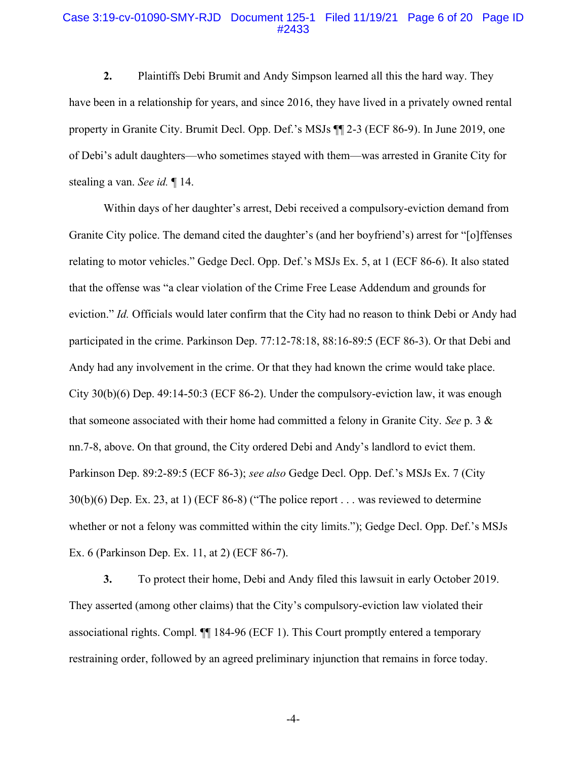#### Case 3:19-cv-01090-SMY-RJD Document 125-1 Filed 11/19/21 Page 6 of 20 Page ID #2433

2. Plaintiffs Debi Brumit and Andy Simpson learned all this the hard way. They have been in a relationship for years, and since 2016, they have lived in a privately owned rental property in Granite City. Brumit Decl. Opp. Def.'s MSJs ¶¶ 2-3 (ECF 86-9). In June 2019, one of Debi's adult daughters—who sometimes stayed with them—was arrested in Granite City for stealing a van. See id. ¶ 14.

Within days of her daughter's arrest, Debi received a compulsory-eviction demand from Granite City police. The demand cited the daughter's (and her boyfriend's) arrest for "[o]ffenses relating to motor vehicles." Gedge Decl. Opp. Def.'s MSJs Ex. 5, at 1 (ECF 86-6). It also stated that the offense was "a clear violation of the Crime Free Lease Addendum and grounds for eviction." Id. Officials would later confirm that the City had no reason to think Debi or Andy had participated in the crime. Parkinson Dep. 77:12-78:18, 88:16-89:5 (ECF 86-3). Or that Debi and Andy had any involvement in the crime. Or that they had known the crime would take place. City 30(b)(6) Dep. 49:14-50:3 (ECF 86-2). Under the compulsory-eviction law, it was enough that someone associated with their home had committed a felony in Granite City. See p. 3  $\&$ nn.7-8, above. On that ground, the City ordered Debi and Andy's landlord to evict them. Parkinson Dep. 89:2-89:5 (ECF 86-3); see also Gedge Decl. Opp. Def.'s MSJs Ex. 7 (City 30(b)(6) Dep. Ex. 23, at 1) (ECF 86-8) ("The police report . . . was reviewed to determine whether or not a felony was committed within the city limits."); Gedge Decl. Opp. Def.'s MSJs Ex. 6 (Parkinson Dep. Ex. 11, at 2) (ECF 86-7).

3. To protect their home, Debi and Andy filed this lawsuit in early October 2019. They asserted (among other claims) that the City's compulsory-eviction law violated their associational rights. Compl. ¶¶ 184-96 (ECF 1). This Court promptly entered a temporary restraining order, followed by an agreed preliminary injunction that remains in force today.

-4-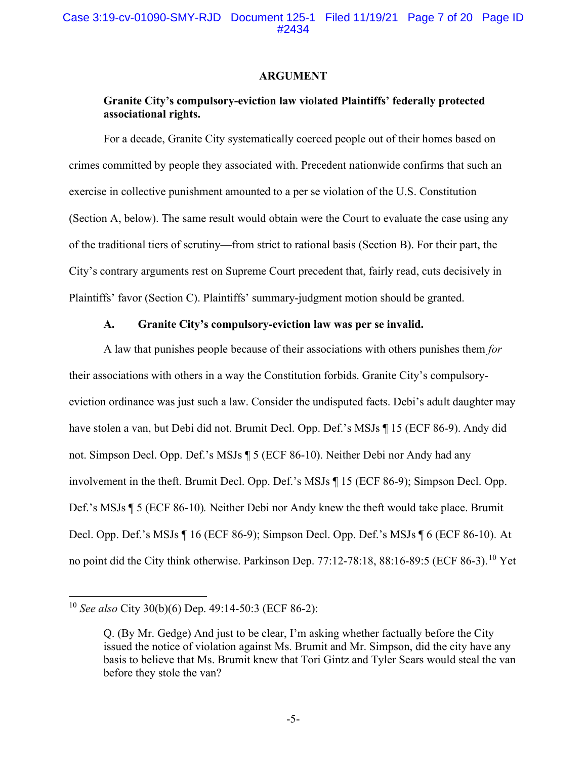#### ARGUMENT

## Granite City's compulsory-eviction law violated Plaintiffs' federally protected associational rights.

 For a decade, Granite City systematically coerced people out of their homes based on crimes committed by people they associated with. Precedent nationwide confirms that such an exercise in collective punishment amounted to a per se violation of the U.S. Constitution (Section A, below). The same result would obtain were the Court to evaluate the case using any of the traditional tiers of scrutiny—from strict to rational basis (Section B). For their part, the City's contrary arguments rest on Supreme Court precedent that, fairly read, cuts decisively in Plaintiffs' favor (Section C). Plaintiffs' summary-judgment motion should be granted.

### A. Granite City's compulsory-eviction law was per se invalid.

A law that punishes people because of their associations with others punishes them for their associations with others in a way the Constitution forbids. Granite City's compulsoryeviction ordinance was just such a law. Consider the undisputed facts. Debi's adult daughter may have stolen a van, but Debi did not. Brumit Decl. Opp. Def.'s MSJs ¶ 15 (ECF 86-9). Andy did not. Simpson Decl. Opp. Def.'s MSJs ¶ 5 (ECF 86-10). Neither Debi nor Andy had any involvement in the theft. Brumit Decl. Opp. Def.'s MSJs ¶ 15 (ECF 86-9); Simpson Decl. Opp. Def.'s MSJs ¶ 5 (ECF 86-10). Neither Debi nor Andy knew the theft would take place. Brumit Decl. Opp. Def.'s MSJs ¶ 16 (ECF 86-9); Simpson Decl. Opp. Def.'s MSJs ¶ 6 (ECF 86-10). At no point did the City think otherwise. Parkinson Dep. 77:12-78:18, 88:16-89:5 (ECF 86-3).<sup>10</sup> Yet

<sup>&</sup>lt;sup>10</sup> See also City 30(b)(6) Dep. 49:14-50:3 (ECF 86-2):

Q. (By Mr. Gedge) And just to be clear, I'm asking whether factually before the City issued the notice of violation against Ms. Brumit and Mr. Simpson, did the city have any basis to believe that Ms. Brumit knew that Tori Gintz and Tyler Sears would steal the van before they stole the van?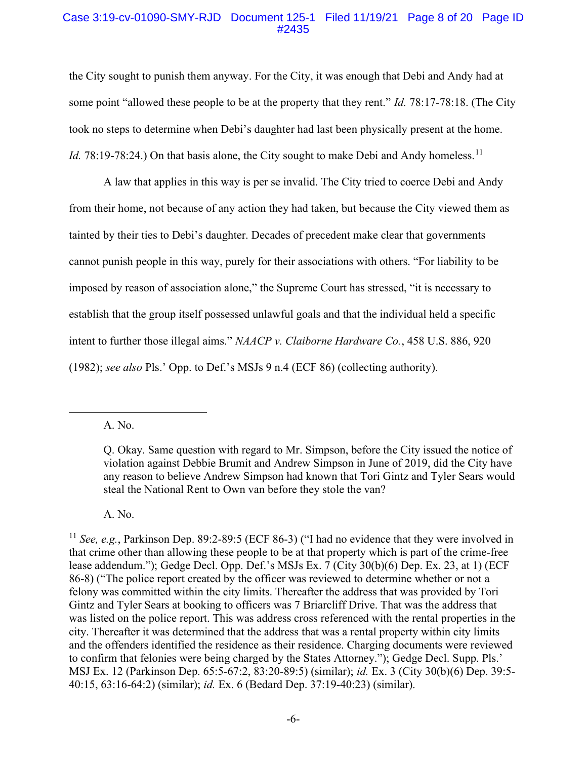### Case 3:19-cv-01090-SMY-RJD Document 125-1 Filed 11/19/21 Page 8 of 20 Page ID #2435

the City sought to punish them anyway. For the City, it was enough that Debi and Andy had at some point "allowed these people to be at the property that they rent." Id. 78:17-78:18. (The City took no steps to determine when Debi's daughter had last been physically present at the home. Id. 78:19-78:24.) On that basis alone, the City sought to make Debi and Andy homeless.<sup>11</sup>

A law that applies in this way is per se invalid. The City tried to coerce Debi and Andy from their home, not because of any action they had taken, but because the City viewed them as tainted by their ties to Debi's daughter. Decades of precedent make clear that governments cannot punish people in this way, purely for their associations with others. "For liability to be imposed by reason of association alone," the Supreme Court has stressed, "it is necessary to establish that the group itself possessed unlawful goals and that the individual held a specific intent to further those illegal aims." NAACP v. Claiborne Hardware Co., 458 U.S. 886, 920 (1982); see also Pls.' Opp. to Def.'s MSJs 9 n.4 (ECF 86) (collecting authority).

A. No.

A. No.

Q. Okay. Same question with regard to Mr. Simpson, before the City issued the notice of violation against Debbie Brumit and Andrew Simpson in June of 2019, did the City have any reason to believe Andrew Simpson had known that Tori Gintz and Tyler Sears would steal the National Rent to Own van before they stole the van?

<sup>&</sup>lt;sup>11</sup> See, e.g., Parkinson Dep. 89:2-89:5 (ECF 86-3) ("I had no evidence that they were involved in that crime other than allowing these people to be at that property which is part of the crime-free lease addendum."); Gedge Decl. Opp. Def.'s MSJs Ex. 7 (City 30(b)(6) Dep. Ex. 23, at 1) (ECF 86-8) ("The police report created by the officer was reviewed to determine whether or not a felony was committed within the city limits. Thereafter the address that was provided by Tori Gintz and Tyler Sears at booking to officers was 7 Briarcliff Drive. That was the address that was listed on the police report. This was address cross referenced with the rental properties in the city. Thereafter it was determined that the address that was a rental property within city limits and the offenders identified the residence as their residence. Charging documents were reviewed to confirm that felonies were being charged by the States Attorney."); Gedge Decl. Supp. Pls.' MSJ Ex. 12 (Parkinson Dep. 65:5-67:2, 83:20-89:5) (similar); id. Ex. 3 (City 30(b)(6) Dep. 39:5- 40:15, 63:16-64:2) (similar); id. Ex. 6 (Bedard Dep. 37:19-40:23) (similar).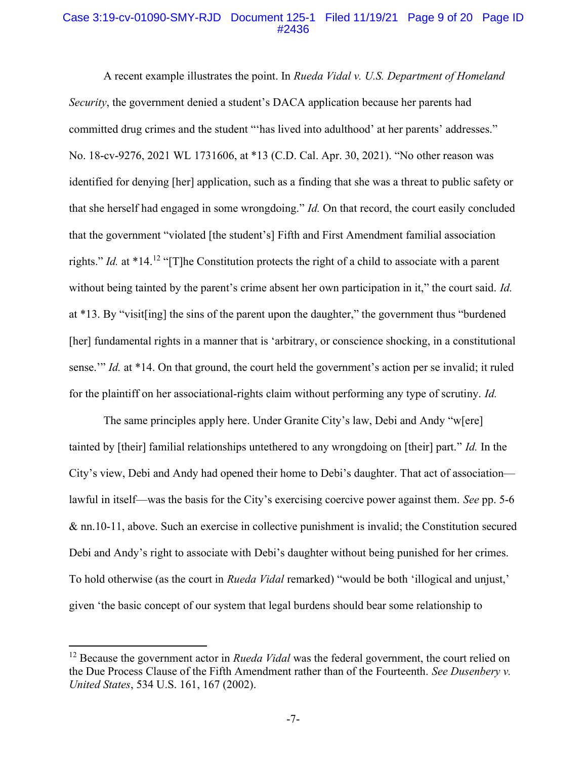#### Case 3:19-cv-01090-SMY-RJD Document 125-1 Filed 11/19/21 Page 9 of 20 Page ID #2436

A recent example illustrates the point. In Rueda Vidal v. U.S. Department of Homeland Security, the government denied a student's DACA application because her parents had committed drug crimes and the student "'has lived into adulthood' at her parents' addresses." No. 18-cv-9276, 2021 WL 1731606, at \*13 (C.D. Cal. Apr. 30, 2021). "No other reason was identified for denying [her] application, such as a finding that she was a threat to public safety or that she herself had engaged in some wrongdoing." Id. On that record, the court easily concluded that the government "violated [the student's] Fifth and First Amendment familial association rights." Id. at  $*14$ .<sup>12</sup> "[T]he Constitution protects the right of a child to associate with a parent without being tainted by the parent's crime absent her own participation in it," the court said. Id. at \*13. By "visit[ing] the sins of the parent upon the daughter," the government thus "burdened [her] fundamental rights in a manner that is 'arbitrary, or conscience shocking, in a constitutional sense." Id. at \*14. On that ground, the court held the government's action per se invalid; it ruled for the plaintiff on her associational-rights claim without performing any type of scrutiny. Id.

The same principles apply here. Under Granite City's law, Debi and Andy "w[ere] tainted by [their] familial relationships untethered to any wrongdoing on [their] part." Id. In the City's view, Debi and Andy had opened their home to Debi's daughter. That act of association lawful in itself—was the basis for the City's exercising coercive power against them. See pp. 5-6 & nn.10-11, above. Such an exercise in collective punishment is invalid; the Constitution secured Debi and Andy's right to associate with Debi's daughter without being punished for her crimes. To hold otherwise (as the court in *Rueda Vidal* remarked) "would be both 'illogical and unjust,' given 'the basic concept of our system that legal burdens should bear some relationship to

<sup>&</sup>lt;sup>12</sup> Because the government actor in *Rueda Vidal* was the federal government, the court relied on the Due Process Clause of the Fifth Amendment rather than of the Fourteenth. See Dusenbery y. United States, 534 U.S. 161, 167 (2002).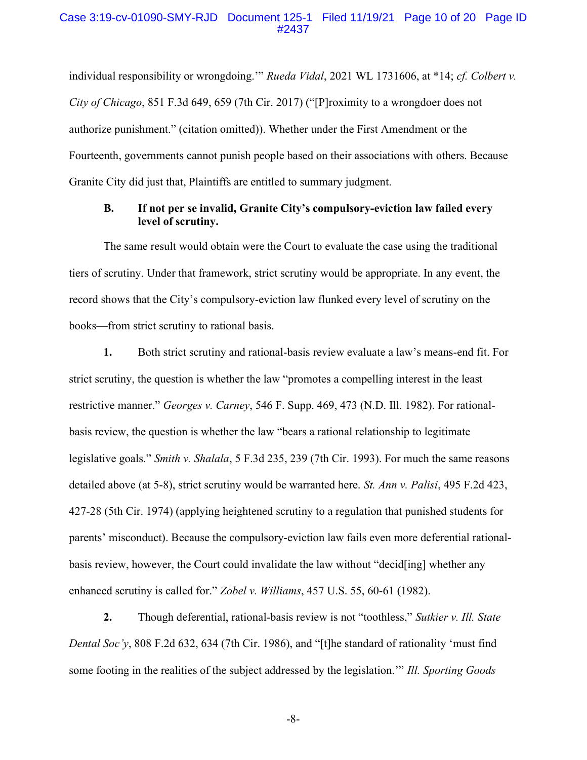#### Case 3:19-cv-01090-SMY-RJD Document 125-1 Filed 11/19/21 Page 10 of 20 Page ID #2437

individual responsibility or wrongdoing." Rueda Vidal, 2021 WL 1731606, at \*14; cf. Colbert v. City of Chicago, 851 F.3d 649, 659 (7th Cir. 2017) ("[P]roximity to a wrongdoer does not authorize punishment." (citation omitted)). Whether under the First Amendment or the Fourteenth, governments cannot punish people based on their associations with others. Because Granite City did just that, Plaintiffs are entitled to summary judgment.

#### B. If not per se invalid, Granite City's compulsory-eviction law failed every level of scrutiny.

The same result would obtain were the Court to evaluate the case using the traditional tiers of scrutiny. Under that framework, strict scrutiny would be appropriate. In any event, the record shows that the City's compulsory-eviction law flunked every level of scrutiny on the books—from strict scrutiny to rational basis.

1. Both strict scrutiny and rational-basis review evaluate a law's means-end fit. For strict scrutiny, the question is whether the law "promotes a compelling interest in the least restrictive manner." Georges v. Carney, 546 F. Supp. 469, 473 (N.D. Ill. 1982). For rationalbasis review, the question is whether the law "bears a rational relationship to legitimate legislative goals." Smith v. Shalala, 5 F.3d 235, 239 (7th Cir. 1993). For much the same reasons detailed above (at 5-8), strict scrutiny would be warranted here. St. Ann v. Palisi, 495 F.2d 423, 427-28 (5th Cir. 1974) (applying heightened scrutiny to a regulation that punished students for parents' misconduct). Because the compulsory-eviction law fails even more deferential rationalbasis review, however, the Court could invalidate the law without "decid[ing] whether any enhanced scrutiny is called for." Zobel v. Williams, 457 U.S. 55, 60-61 (1982).

2. Though deferential, rational-basis review is not "toothless," Sutkier v. Ill. State Dental Soc'y, 808 F.2d 632, 634 (7th Cir. 1986), and "[t]he standard of rationality 'must find some footing in the realities of the subject addressed by the legislation." Ill. Sporting Goods

-8-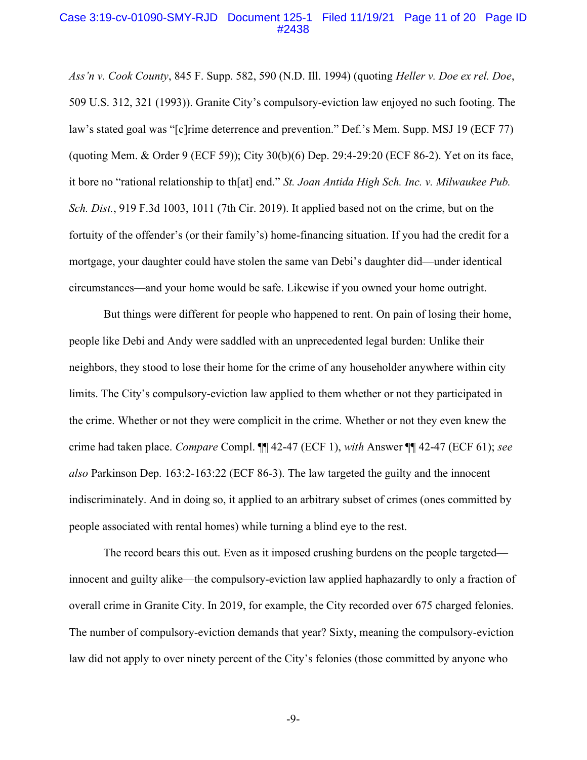#### Case 3:19-cv-01090-SMY-RJD Document 125-1 Filed 11/19/21 Page 11 of 20 Page ID #2438

Ass'n v. Cook County, 845 F. Supp. 582, 590 (N.D. Ill. 1994) (quoting Heller v. Doe ex rel. Doe, 509 U.S. 312, 321 (1993)). Granite City's compulsory-eviction law enjoyed no such footing. The law's stated goal was "[c]rime deterrence and prevention." Def.'s Mem. Supp. MSJ 19 (ECF 77) (quoting Mem. & Order 9 (ECF 59)); City 30(b)(6) Dep. 29:4-29:20 (ECF 86-2). Yet on its face, it bore no "rational relationship to th[at] end." St. Joan Antida High Sch. Inc. v. Milwaukee Pub. Sch. Dist., 919 F.3d 1003, 1011 (7th Cir. 2019). It applied based not on the crime, but on the fortuity of the offender's (or their family's) home-financing situation. If you had the credit for a mortgage, your daughter could have stolen the same van Debi's daughter did—under identical circumstances—and your home would be safe. Likewise if you owned your home outright.

But things were different for people who happened to rent. On pain of losing their home, people like Debi and Andy were saddled with an unprecedented legal burden: Unlike their neighbors, they stood to lose their home for the crime of any householder anywhere within city limits. The City's compulsory-eviction law applied to them whether or not they participated in the crime. Whether or not they were complicit in the crime. Whether or not they even knew the crime had taken place. Compare Compl. ¶¶ 42-47 (ECF 1), with Answer ¶¶ 42-47 (ECF 61); see also Parkinson Dep. 163:2-163:22 (ECF 86-3). The law targeted the guilty and the innocent indiscriminately. And in doing so, it applied to an arbitrary subset of crimes (ones committed by people associated with rental homes) while turning a blind eye to the rest.

The record bears this out. Even as it imposed crushing burdens on the people targeted innocent and guilty alike—the compulsory-eviction law applied haphazardly to only a fraction of overall crime in Granite City. In 2019, for example, the City recorded over 675 charged felonies. The number of compulsory-eviction demands that year? Sixty, meaning the compulsory-eviction law did not apply to over ninety percent of the City's felonies (those committed by anyone who

-9-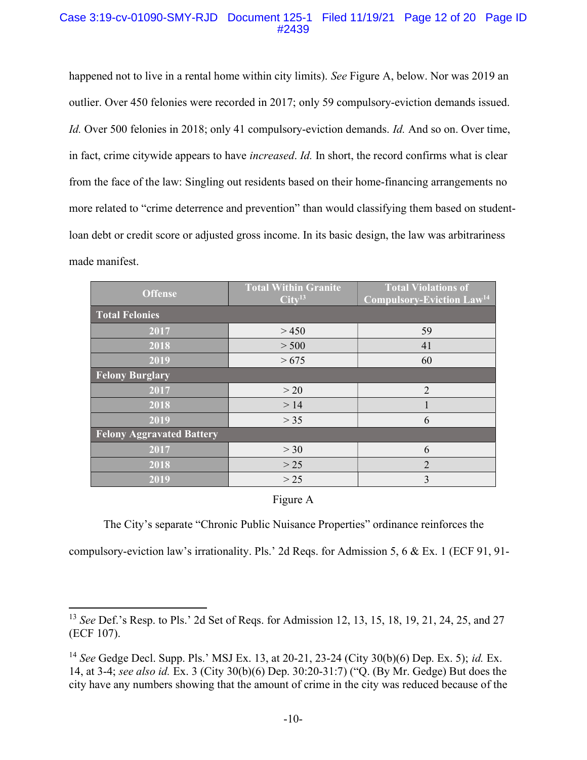### Case 3:19-cv-01090-SMY-RJD Document 125-1 Filed 11/19/21 Page 12 of 20 Page ID #2439

happened not to live in a rental home within city limits). See Figure A, below. Nor was 2019 an outlier. Over 450 felonies were recorded in 2017; only 59 compulsory-eviction demands issued. Id. Over 500 felonies in 2018; only 41 compulsory-eviction demands. Id. And so on. Over time, in fact, crime citywide appears to have increased. Id. In short, the record confirms what is clear from the face of the law: Singling out residents based on their home-financing arrangements no more related to "crime deterrence and prevention" than would classifying them based on studentloan debt or credit score or adjusted gross income. In its basic design, the law was arbitrariness made manifest.

| <b>Offense</b>                   | <b>Total Within Granite</b><br>Citv <sup>13</sup> | <b>Total Violations of</b><br>Compulsory-Eviction Law <sup>14</sup> |  |  |  |
|----------------------------------|---------------------------------------------------|---------------------------------------------------------------------|--|--|--|
| <b>Total Felonies</b>            |                                                   |                                                                     |  |  |  |
| 2017                             | >450                                              | 59                                                                  |  |  |  |
| 2018                             | > 500                                             | 41                                                                  |  |  |  |
| 2019                             | > 675                                             | 60                                                                  |  |  |  |
| <b>Felony Burglary</b>           |                                                   |                                                                     |  |  |  |
| 2017                             | >20                                               | $\overline{2}$                                                      |  |  |  |
| 2018                             | >14                                               |                                                                     |  |  |  |
| 2019                             | > 35                                              | 6                                                                   |  |  |  |
| <b>Felony Aggravated Battery</b> |                                                   |                                                                     |  |  |  |
| 2017                             | >30                                               | 6                                                                   |  |  |  |
| 2018                             | $>25$                                             | $\overline{2}$                                                      |  |  |  |
| 2019                             | $>25$                                             | $\overline{3}$                                                      |  |  |  |

#### Figure A

The City's separate "Chronic Public Nuisance Properties" ordinance reinforces the

compulsory-eviction law's irrationality. Pls.' 2d Reqs. for Admission 5, 6 & Ex. 1 (ECF 91, 91-

<sup>&</sup>lt;sup>13</sup> See Def.'s Resp. to Pls.' 2d Set of Reqs. for Admission 12, 13, 15, 18, 19, 21, 24, 25, and 27 (ECF 107).

<sup>&</sup>lt;sup>14</sup> See Gedge Decl. Supp. Pls.' MSJ Ex. 13, at 20-21, 23-24 (City 30(b)(6) Dep. Ex. 5); *id.* Ex. 14, at 3-4; see also id. Ex. 3 (City 30(b)(6) Dep. 30:20-31:7) ("Q. (By Mr. Gedge) But does the city have any numbers showing that the amount of crime in the city was reduced because of the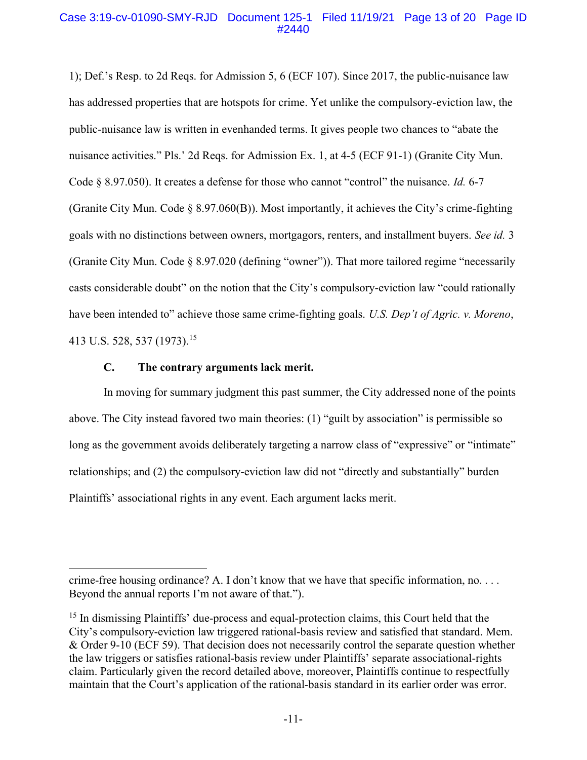### Case 3:19-cv-01090-SMY-RJD Document 125-1 Filed 11/19/21 Page 13 of 20 Page ID #2440

1); Def.'s Resp. to 2d Reqs. for Admission 5, 6 (ECF 107). Since 2017, the public-nuisance law has addressed properties that are hotspots for crime. Yet unlike the compulsory-eviction law, the public-nuisance law is written in evenhanded terms. It gives people two chances to "abate the nuisance activities." Pls.' 2d Reqs. for Admission Ex. 1, at 4-5 (ECF 91-1) (Granite City Mun. Code  $\S$  8.97.050). It creates a defense for those who cannot "control" the nuisance. *Id.* 6-7 (Granite City Mun. Code  $\S$  8.97.060(B)). Most importantly, it achieves the City's crime-fighting goals with no distinctions between owners, mortgagors, renters, and installment buyers. See id. 3 (Granite City Mun. Code § 8.97.020 (defining "owner")). That more tailored regime "necessarily casts considerable doubt" on the notion that the City's compulsory-eviction law "could rationally have been intended to" achieve those same crime-fighting goals. U.S. Dep't of Agric. v. Moreno, 413 U.S. 528, 537 (1973).<sup>15</sup>

#### C. The contrary arguments lack merit.

In moving for summary judgment this past summer, the City addressed none of the points above. The City instead favored two main theories: (1) "guilt by association" is permissible so long as the government avoids deliberately targeting a narrow class of "expressive" or "intimate" relationships; and (2) the compulsory-eviction law did not "directly and substantially" burden Plaintiffs' associational rights in any event. Each argument lacks merit.

crime-free housing ordinance? A. I don't know that we have that specific information, no. . . . Beyond the annual reports I'm not aware of that.").

 $15$  In dismissing Plaintiffs' due-process and equal-protection claims, this Court held that the City's compulsory-eviction law triggered rational-basis review and satisfied that standard. Mem. & Order 9-10 (ECF 59). That decision does not necessarily control the separate question whether the law triggers or satisfies rational-basis review under Plaintiffs' separate associational-rights claim. Particularly given the record detailed above, moreover, Plaintiffs continue to respectfully maintain that the Court's application of the rational-basis standard in its earlier order was error.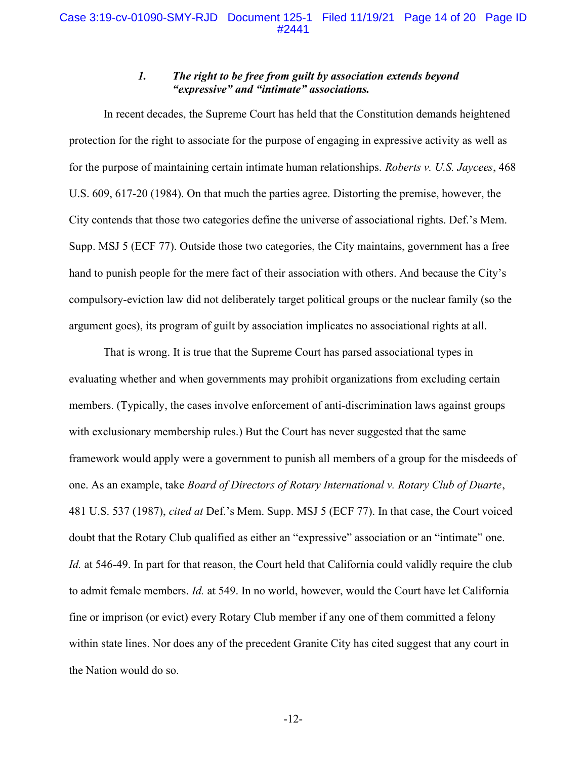## 1. The right to be free from guilt by association extends beyond "expressive" and "intimate" associations.

In recent decades, the Supreme Court has held that the Constitution demands heightened protection for the right to associate for the purpose of engaging in expressive activity as well as for the purpose of maintaining certain intimate human relationships. Roberts v. U.S. Jaycees, 468 U.S. 609, 617-20 (1984). On that much the parties agree. Distorting the premise, however, the City contends that those two categories define the universe of associational rights. Def.'s Mem. Supp. MSJ 5 (ECF 77). Outside those two categories, the City maintains, government has a free hand to punish people for the mere fact of their association with others. And because the City's compulsory-eviction law did not deliberately target political groups or the nuclear family (so the argument goes), its program of guilt by association implicates no associational rights at all.

That is wrong. It is true that the Supreme Court has parsed associational types in evaluating whether and when governments may prohibit organizations from excluding certain members. (Typically, the cases involve enforcement of anti-discrimination laws against groups with exclusionary membership rules.) But the Court has never suggested that the same framework would apply were a government to punish all members of a group for the misdeeds of one. As an example, take Board of Directors of Rotary International v. Rotary Club of Duarte, 481 U.S. 537 (1987), cited at Def.'s Mem. Supp. MSJ 5 (ECF 77). In that case, the Court voiced doubt that the Rotary Club qualified as either an "expressive" association or an "intimate" one. Id. at 546-49. In part for that reason, the Court held that California could validly require the club to admit female members. Id. at 549. In no world, however, would the Court have let California fine or imprison (or evict) every Rotary Club member if any one of them committed a felony within state lines. Nor does any of the precedent Granite City has cited suggest that any court in the Nation would do so.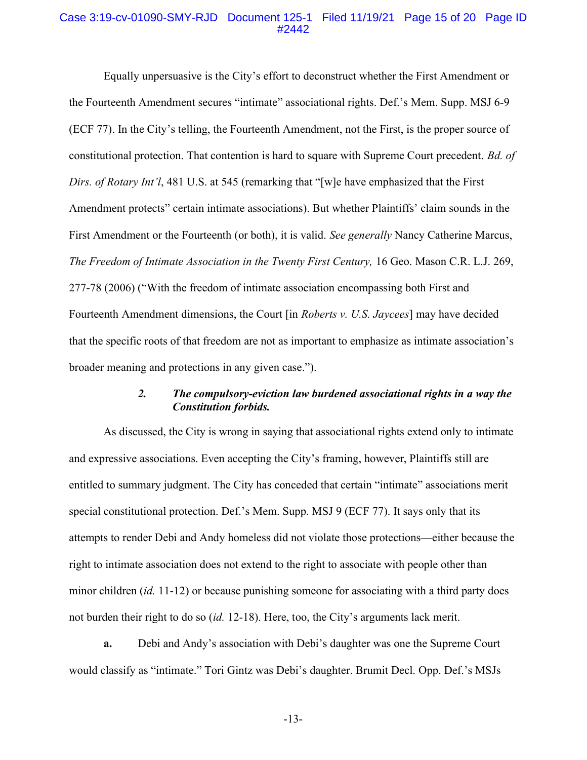### Case 3:19-cv-01090-SMY-RJD Document 125-1 Filed 11/19/21 Page 15 of 20 Page ID #2442

Equally unpersuasive is the City's effort to deconstruct whether the First Amendment or the Fourteenth Amendment secures "intimate" associational rights. Def.'s Mem. Supp. MSJ 6-9 (ECF 77). In the City's telling, the Fourteenth Amendment, not the First, is the proper source of constitutional protection. That contention is hard to square with Supreme Court precedent. Bd. of Dirs. of Rotary Int'l, 481 U.S. at 545 (remarking that "[w]e have emphasized that the First Amendment protects" certain intimate associations). But whether Plaintiffs' claim sounds in the First Amendment or the Fourteenth (or both), it is valid. See generally Nancy Catherine Marcus, The Freedom of Intimate Association in the Twenty First Century, 16 Geo. Mason C.R. L.J. 269, 277-78 (2006) ("With the freedom of intimate association encompassing both First and Fourteenth Amendment dimensions, the Court [in *Roberts v. U.S. Jaycees*] may have decided that the specific roots of that freedom are not as important to emphasize as intimate association's broader meaning and protections in any given case.").

## 2. The compulsory-eviction law burdened associational rights in a way the Constitution forbids.

As discussed, the City is wrong in saying that associational rights extend only to intimate and expressive associations. Even accepting the City's framing, however, Plaintiffs still are entitled to summary judgment. The City has conceded that certain "intimate" associations merit special constitutional protection. Def.'s Mem. Supp. MSJ 9 (ECF 77). It says only that its attempts to render Debi and Andy homeless did not violate those protections—either because the right to intimate association does not extend to the right to associate with people other than minor children (id. 11-12) or because punishing someone for associating with a third party does not burden their right to do so (id. 12-18). Here, too, the City's arguments lack merit.

a. Debi and Andy's association with Debi's daughter was one the Supreme Court would classify as "intimate." Tori Gintz was Debi's daughter. Brumit Decl. Opp. Def.'s MSJs

-13-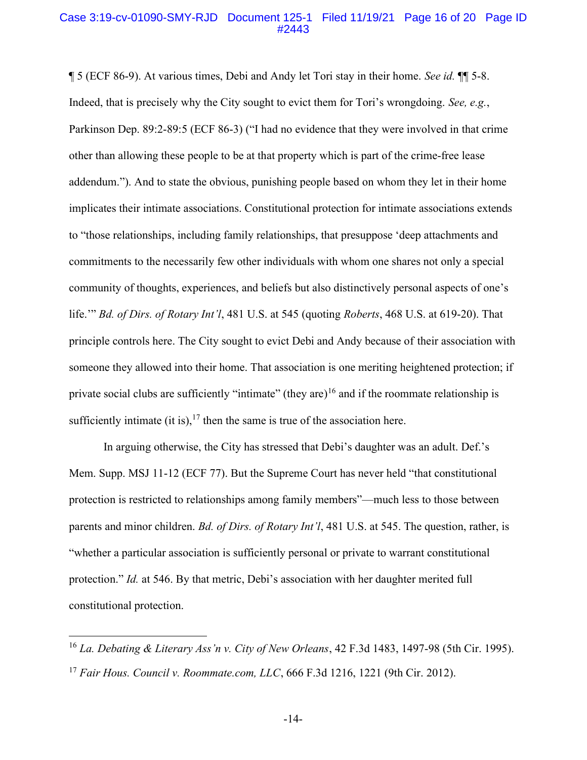#### Case 3:19-cv-01090-SMY-RJD Document 125-1 Filed 11/19/21 Page 16 of 20 Page ID #2443

¶ 5 (ECF 86-9). At various times, Debi and Andy let Tori stay in their home. See id. ¶¶ 5-8. Indeed, that is precisely why the City sought to evict them for Tori's wrongdoing. See, e.g., Parkinson Dep. 89:2-89:5 (ECF 86-3) ("I had no evidence that they were involved in that crime other than allowing these people to be at that property which is part of the crime-free lease addendum."). And to state the obvious, punishing people based on whom they let in their home implicates their intimate associations. Constitutional protection for intimate associations extends to "those relationships, including family relationships, that presuppose 'deep attachments and commitments to the necessarily few other individuals with whom one shares not only a special community of thoughts, experiences, and beliefs but also distinctively personal aspects of one's life." Bd. of Dirs. of Rotary Int'l, 481 U.S. at 545 (quoting Roberts, 468 U.S. at 619-20). That principle controls here. The City sought to evict Debi and Andy because of their association with someone they allowed into their home. That association is one meriting heightened protection; if private social clubs are sufficiently "intimate" (they are)<sup>16</sup> and if the roommate relationship is sufficiently intimate (it is),  $17$  then the same is true of the association here.

In arguing otherwise, the City has stressed that Debi's daughter was an adult. Def.'s Mem. Supp. MSJ 11-12 (ECF 77). But the Supreme Court has never held "that constitutional protection is restricted to relationships among family members"—much less to those between parents and minor children. *Bd. of Dirs. of Rotary Int'l*, 481 U.S. at 545. The question, rather, is "whether a particular association is sufficiently personal or private to warrant constitutional protection." Id. at 546. By that metric, Debi's association with her daughter merited full constitutional protection.

<sup>&</sup>lt;sup>16</sup> La. Debating & Literary Ass'n v. City of New Orleans, 42 F.3d 1483, 1497-98 (5th Cir. 1995). <sup>17</sup> Fair Hous. Council v. Roommate.com, LLC, 666 F.3d 1216, 1221 (9th Cir. 2012).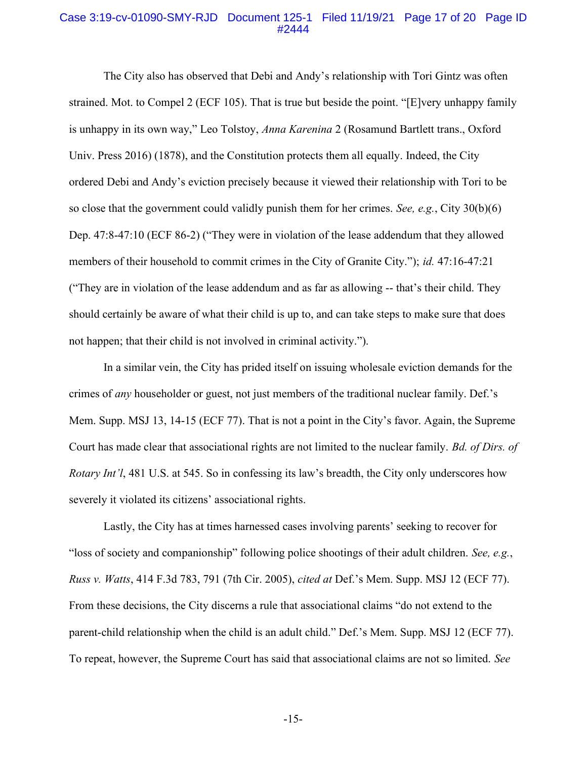#### Case 3:19-cv-01090-SMY-RJD Document 125-1 Filed 11/19/21 Page 17 of 20 Page ID #2444

The City also has observed that Debi and Andy's relationship with Tori Gintz was often strained. Mot. to Compel 2 (ECF 105). That is true but beside the point. "[E]very unhappy family is unhappy in its own way," Leo Tolstoy, Anna Karenina 2 (Rosamund Bartlett trans., Oxford Univ. Press 2016) (1878), and the Constitution protects them all equally. Indeed, the City ordered Debi and Andy's eviction precisely because it viewed their relationship with Tori to be so close that the government could validly punish them for her crimes. See, e.g., City  $30(b)(6)$ Dep. 47:8-47:10 (ECF 86-2) ("They were in violation of the lease addendum that they allowed members of their household to commit crimes in the City of Granite City."); *id.* 47:16-47:21 ("They are in violation of the lease addendum and as far as allowing -- that's their child. They should certainly be aware of what their child is up to, and can take steps to make sure that does not happen; that their child is not involved in criminal activity.").

In a similar vein, the City has prided itself on issuing wholesale eviction demands for the crimes of any householder or guest, not just members of the traditional nuclear family. Def.'s Mem. Supp. MSJ 13, 14-15 (ECF 77). That is not a point in the City's favor. Again, the Supreme Court has made clear that associational rights are not limited to the nuclear family. Bd. of Dirs. of Rotary Int'l, 481 U.S. at 545. So in confessing its law's breadth, the City only underscores how severely it violated its citizens' associational rights.

Lastly, the City has at times harnessed cases involving parents' seeking to recover for "loss of society and companionship" following police shootings of their adult children. See, e.g., Russ v. Watts, 414 F.3d 783, 791 (7th Cir. 2005), cited at Def.'s Mem. Supp. MSJ 12 (ECF 77). From these decisions, the City discerns a rule that associational claims "do not extend to the parent-child relationship when the child is an adult child." Def.'s Mem. Supp. MSJ 12 (ECF 77). To repeat, however, the Supreme Court has said that associational claims are not so limited. See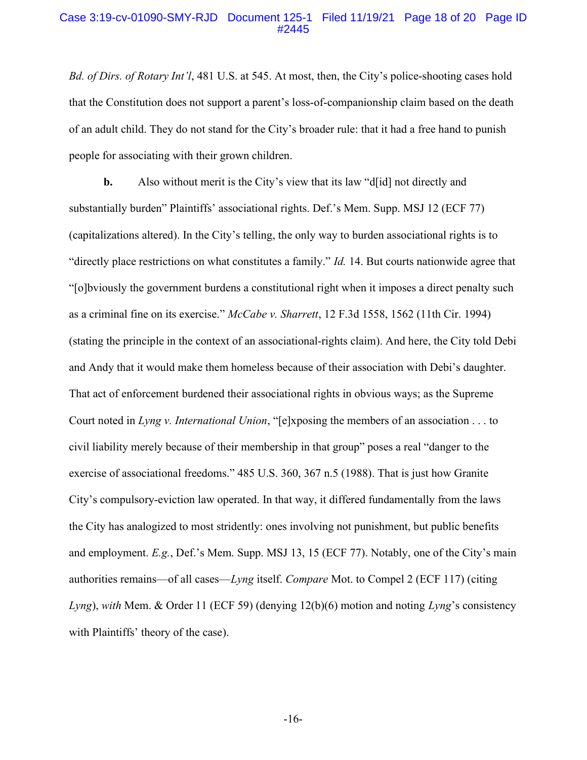### Case 3:19-cv-01090-SMY-RJD Document 125-1 Filed 11/19/21 Page 18 of 20 Page ID #2445

Bd. of Dirs. of Rotary Int'l, 481 U.S. at 545. At most, then, the City's police-shooting cases hold that the Constitution does not support a parent's loss-of-companionship claim based on the death of an adult child. They do not stand for the City's broader rule: that it had a free hand to punish people for associating with their grown children.

b. Also without merit is the City's view that its law "d[id] not directly and substantially burden" Plaintiffs' associational rights. Def.'s Mem. Supp. MSJ 12 (ECF 77) (capitalizations altered). In the City's telling, the only way to burden associational rights is to "directly place restrictions on what constitutes a family." Id. 14. But courts nationwide agree that "[o]bviously the government burdens a constitutional right when it imposes a direct penalty such as a criminal fine on its exercise." McCabe v. Sharrett, 12 F.3d 1558, 1562 (11th Cir. 1994) (stating the principle in the context of an associational-rights claim). And here, the City told Debi and Andy that it would make them homeless because of their association with Debi's daughter. That act of enforcement burdened their associational rights in obvious ways; as the Supreme Court noted in Lyng v. International Union, "[e]xposing the members of an association  $\dots$  to civil liability merely because of their membership in that group" poses a real "danger to the exercise of associational freedoms." 485 U.S. 360, 367 n.5 (1988). That is just how Granite City's compulsory-eviction law operated. In that way, it differed fundamentally from the laws the City has analogized to most stridently: ones involving not punishment, but public benefits and employment. E.g., Def.'s Mem. Supp. MSJ 13, 15 (ECF 77). Notably, one of the City's main authorities remains—of all cases—Lyng itself. Compare Mot. to Compel 2 (ECF 117) (citing Lyng), with Mem. & Order 11 (ECF 59) (denying  $12(b)(6)$  motion and noting Lyng's consistency with Plaintiffs' theory of the case).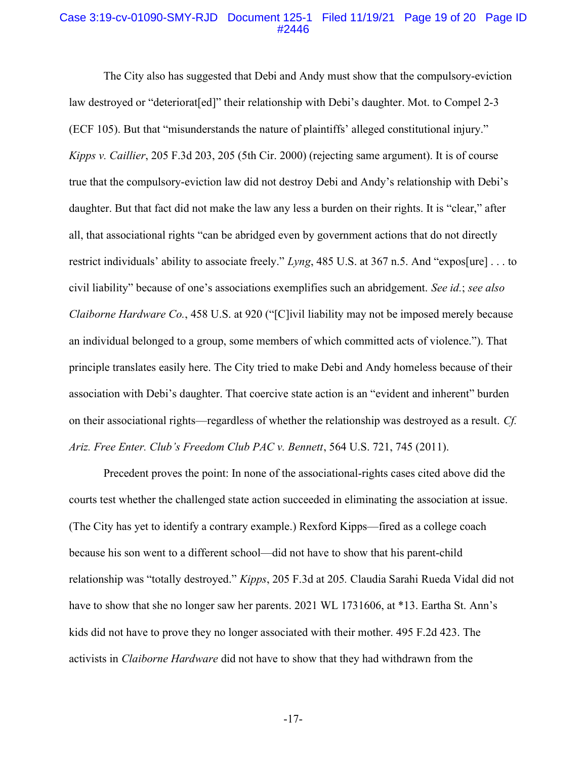#### Case 3:19-cv-01090-SMY-RJD Document 125-1 Filed 11/19/21 Page 19 of 20 Page ID #2446

The City also has suggested that Debi and Andy must show that the compulsory-eviction law destroyed or "deteriorat[ed]" their relationship with Debi's daughter. Mot. to Compel 2-3 (ECF 105). But that "misunderstands the nature of plaintiffs' alleged constitutional injury." Kipps v. Caillier, 205 F.3d 203, 205 (5th Cir. 2000) (rejecting same argument). It is of course true that the compulsory-eviction law did not destroy Debi and Andy's relationship with Debi's daughter. But that fact did not make the law any less a burden on their rights. It is "clear," after all, that associational rights "can be abridged even by government actions that do not directly restrict individuals' ability to associate freely." Lyng, 485 U.S. at 367 n.5. And "expos[ure] . . . to civil liability" because of one's associations exemplifies such an abridgement. See id.; see also Claiborne Hardware Co., 458 U.S. at 920 ("[C]ivil liability may not be imposed merely because an individual belonged to a group, some members of which committed acts of violence."). That principle translates easily here. The City tried to make Debi and Andy homeless because of their association with Debi's daughter. That coercive state action is an "evident and inherent" burden on their associational rights—regardless of whether the relationship was destroyed as a result. Cf. Ariz. Free Enter. Club's Freedom Club PAC v. Bennett, 564 U.S. 721, 745 (2011).

Precedent proves the point: In none of the associational-rights cases cited above did the courts test whether the challenged state action succeeded in eliminating the association at issue. (The City has yet to identify a contrary example.) Rexford Kipps—fired as a college coach because his son went to a different school—did not have to show that his parent-child relationship was "totally destroyed." Kipps, 205 F.3d at 205. Claudia Sarahi Rueda Vidal did not have to show that she no longer saw her parents. 2021 WL 1731606, at \*13. Eartha St. Ann's kids did not have to prove they no longer associated with their mother. 495 F.2d 423. The activists in Claiborne Hardware did not have to show that they had withdrawn from the

-17-